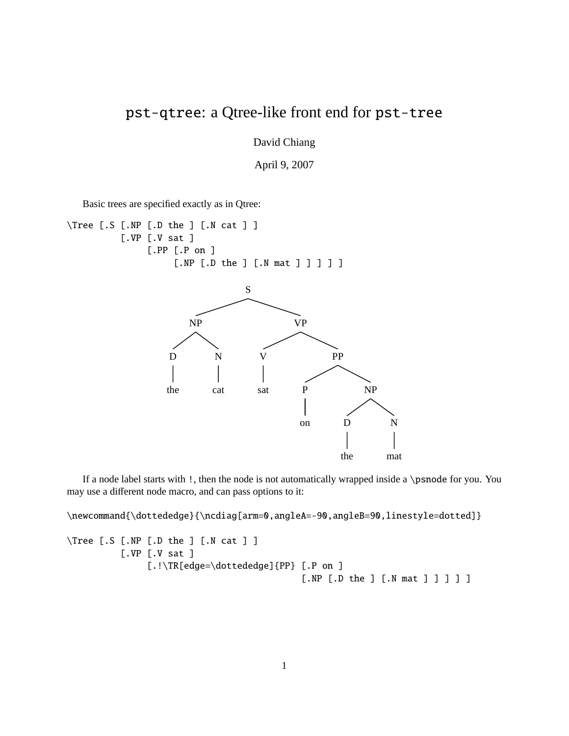## pst-qtree: a Qtree-like front end for pst-tree

David Chiang

April 9, 2007

Basic trees are specified exactly as in Qtree:

\Tree [.S [.NP [.D the ] [.N cat ] ] [.VP [.V sat ] [.PP [.P on ] [.NP [.D the ] [.N mat ] ] ] ] ] S NP D the N cat VP V sat PP P on NP D the

If a node label starts with !, then the node is not automatically wrapped inside a \psnode for you. You may use a different node macro, and can pass options to it:

N

mat

\newcommand{\dottededge}{\ncdiag[arm=0,angleA=-90,angleB=90,linestyle=dotted]}

```
\Tree [.S [.NP [.D the ] [.N cat ] ]
          [.VP [.V sat ]
               [.!\TR[edge=\dottededge]{PP} [.P on ]
                                             [.NP [.D the ] [.N mat ] ] ] ] ]
```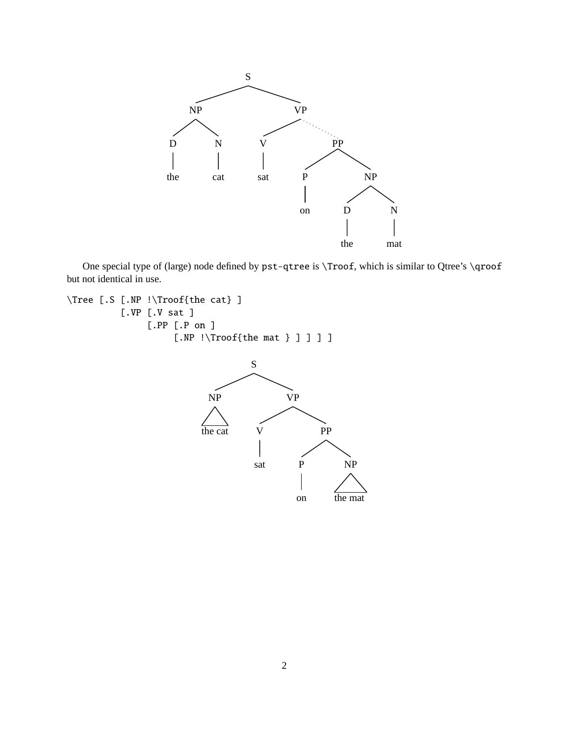

One special type of (large) node defined by pst-qtree is \Troof, which is similar to Qtree's \qroof but not identical in use.

```
\Tree [.S [.NP !\Troof{the cat} ]
          [.VP [.V sat ]
               [.PP [.P on ]
                    [.NP !\Troof{the mat } ] ] ] ]
                                   S
```
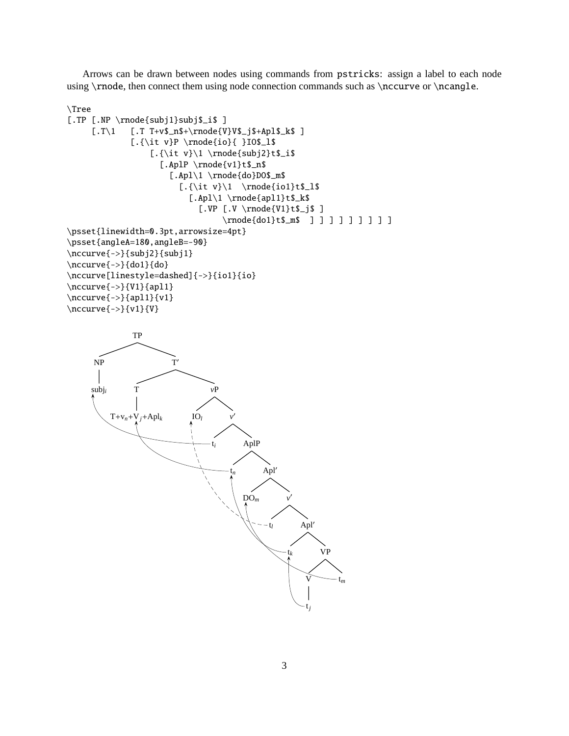Arrows can be drawn between nodes using commands from pstricks: assign a label to each node using \rnode, then connect them using node connection commands such as \nccurve or \ncangle.

```
\Tree
[.TP [.NP \rnode{subj1}subj$_i$ ]
     [ .T \1  [-T + v\_n\+\rangle_{V\_{j\+Ap1\
             [.{\it v}P \rnode{io}{ }IO$_l$
                 [.\{\it v}\l \rangle\[.AplP \rnode{v1}t$_n$
                     [.Apl\1 \rnode{do}DO$_m$
                       [.\{\tilde v}\1 \rangle_{\text{iol}}t$_l$[.Apl\1 \rnode{apl1}t$_k$
                           [.VP [.V \rnode{V1}t$_j$ ]
                                \rnode{do1}t$_m$ ] ] ] ] ] ] ] ] ]
\psset{linewidth=0.3pt,arrowsize=4pt}
\psset{angleA=180,angleB=-90}
\nccurve{->}{subj2}{subj1}
\nccurve{->}{do1}{do}
\nccurve[linestyle=dashed]{->}{io1}{io}
\nccurve{->}{V1}{apl1}
\nccurve{->}{apl1}{v1}
\nccurve{->}{v1}{V}
```
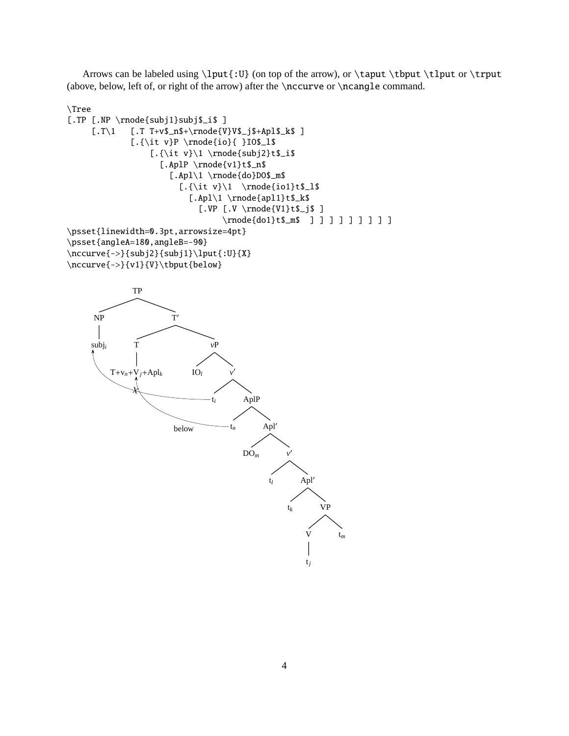Arrows can be labeled using  $\lvert \cdot \rangle$  (on top of the arrow), or  $\tau \tight$  then  $\lvert \cdot \rangle$ (above, below, left of, or right of the arrow) after the \nccurve or \ncangle command.

```
\Tree
[.TP [.NP \rnode{subj1}subj$_i$ ]
     [ .T \1  [-T + v\_n\+\rangle\]V\ _j$+Apl$_k$ ]
             [.{\it v}P \rnode{io}{ }IO$_l$
                 [.\{\\it v\}\l \rangle\[.AplP \rnode{v1}t$_n$
                     [.Apl\1 \rnode{do}DO$_m$
                       [.\{\tilde v}\1 \rangle_{\text{iol}}t$_l$[.Apl\1 \rnode{apl1}t$_k$
                           [.VP [.V \rnode{V1}t$_j$ ]
                                \rnode{do1}t$_m$ ] ] ] ] ] ] ] ] ]
\psset{linewidth=0.3pt,arrowsize=4pt}
\psset{angleA=180,angleB=-90}
\nccurve{->}{subj2}{subj1}\lput{:U}{X}
\nccurve{->}{v1}{V}\tbput{below}
```